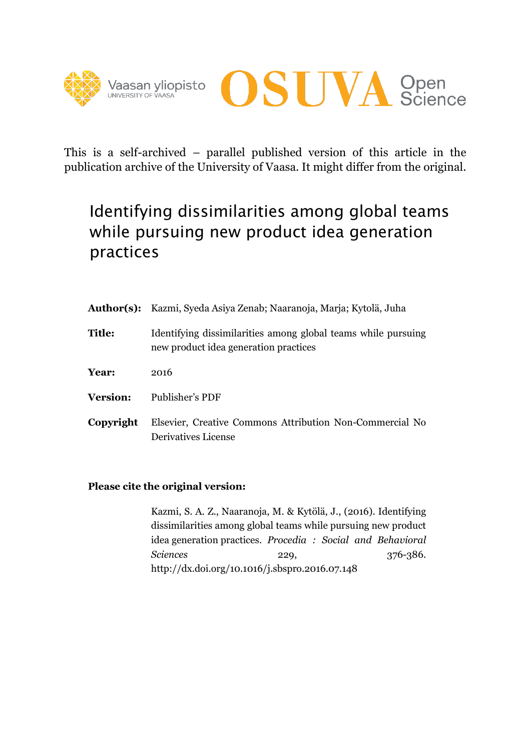



This is a self-archived – parallel published version of this article in the publication archive of the University of Vaasa. It might differ from the original.

# Identifying dissimilarities among global teams while pursuing new product idea generation practices

|                 | Author(s): Kazmi, Syeda Asiya Zenab; Naaranoja, Marja; Kytolä, Juha                                    |
|-----------------|--------------------------------------------------------------------------------------------------------|
| <b>Title:</b>   | Identifying dissimilarities among global teams while pursuing<br>new product idea generation practices |
| Year:           | 2016                                                                                                   |
| <b>Version:</b> | Publisher's PDF                                                                                        |
| Copyright       | Elsevier, Creative Commons Attribution Non-Commercial No<br>Derivatives License                        |

## **Please cite the original version:**

Kazmi, S. A. Z., Naaranoja, M. & Kytölä, J., (2016). Identifying dissimilarities among global teams while pursuing new product idea generation practices. *Procedia : Social and Behavioral Sciences* 229, 376-386. http://dx.doi.org/10.1016/j.sbspro.2016.07.148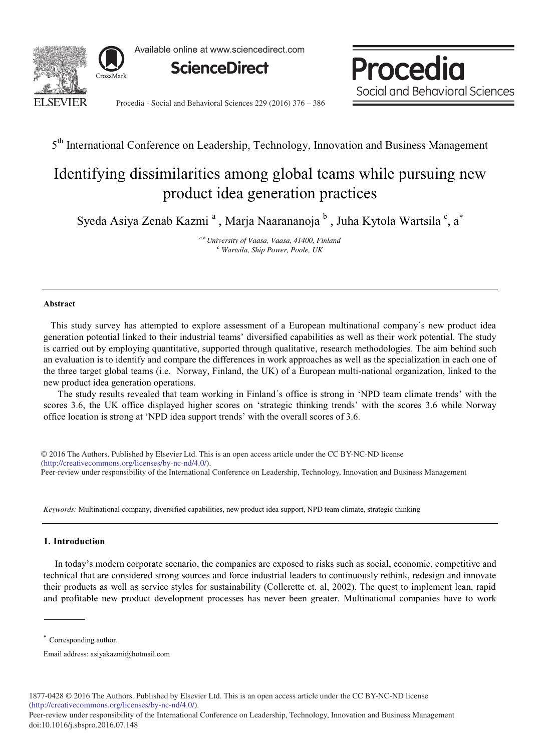

Available online at www.sciencedirect.com





Procedia - Social and Behavioral Sciences 229 (2016) 376 - 386

5<sup>th</sup> International Conference on Leadership, Technology, Innovation and Business Management

## Identifying dissimilarities among global teams while pursuing new product idea generation practices

Syeda Asiya Zenab Kazmi<sup>a</sup>, Marja Naarananoja  $^{\rm b}$  , Juha Kytola Wartsila  $^{\rm c}$ , a $^*$ 

*a,b University of Vaasa, Vaasa, 41400, Finland c Wartsila, Ship Power, Poole, UK*

## **Abstract**

 This study survey has attempted to explore assessment of a European multinational company´s new product idea generation potential linked to their industrial teams' diversified capabilities as well as their work potential. The study is carried out by employing quantitative, supported through qualitative, research methodologies. The aim behind such an evaluation is to identify and compare the differences in work approaches as well as the specialization in each one of the three target global teams (i.e. Norway, Finland, the UK) of a European multi-national organization, linked to the new product idea generation operations.

 The study results revealed that team working in Finland´s office is strong in 'NPD team climate trends' with the scores 3.6, the UK office displayed higher scores on 'strategic thinking trends' with the scores 3.6 while Norway office location is strong at 'NPD idea support trends' with the overall scores of 3.6.

© 2016 The Authors. Published by Elsevier Ltd. This is an open access article under the CC BY-NC-ND license (intp.//creativecommons.org/incenses/oy-nc-nu/4.0/).<br>Peer-review under responsibility of the International Conference on Leadership, Technology, Innovation and Business Management (http://creativecommons.org/licenses/by-nc-nd/4.0/).

*Keywords:* Multinational company, diversified capabilities, new product idea support, NPD team climate, strategic thinking

## **1. Introduction**

In today's modern corporate scenario, the companies are exposed to risks such as social, economic, competitive and technical that are considered strong sources and force industrial leaders to continuously rethink, redesign and innovate their products as well as service styles for sustainability (Collerette et. al, 2002). The quest to implement lean, rapid and profitable new product development processes has never been greater. Multinational companies have to work

 Corresponding author.

Email address: asiyakazmi@hotmail.com

<sup>1877-0428 © 2016</sup> The Authors. Published by Elsevier Ltd. This is an open access article under the CC BY-NC-ND license (http://creativecommons.org/licenses/by-nc-nd/4.0/).

Peer-review under responsibility of the International Conference on Leadership, Technology, Innovation and Business Management doi: 10.1016/j.sbspro.2016.07.148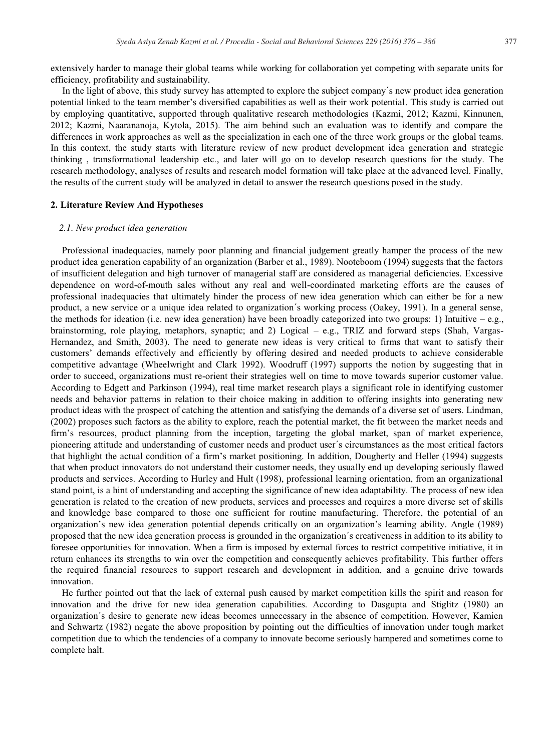extensively harder to manage their global teams while working for collaboration yet competing with separate units for efficiency, profitability and sustainability.

In the light of above, this study survey has attempted to explore the subject company´s new product idea generation potential linked to the team member's diversified capabilities as well as their work potential. This study is carried out by employing quantitative, supported through qualitative research methodologies (Kazmi, 2012; Kazmi, Kinnunen, 2012; Kazmi, Naarananoja, Kytola, 2015). The aim behind such an evaluation was to identify and compare the differences in work approaches as well as the specialization in each one of the three work groups or the global teams. In this context, the study starts with literature review of new product development idea generation and strategic thinking , transformational leadership etc., and later will go on to develop research questions for the study. The research methodology, analyses of results and research model formation will take place at the advanced level. Finally, the results of the current study will be analyzed in detail to answer the research questions posed in the study.

## **2. Literature Review And Hypotheses**

#### *2.1. New product idea generation*

Professional inadequacies, namely poor planning and financial judgement greatly hamper the process of the new product idea generation capability of an organization (Barber et al., 1989). Nooteboom (1994) suggests that the factors of insufficient delegation and high turnover of managerial staff are considered as managerial deficiencies. Excessive dependence on word-of-mouth sales without any real and well-coordinated marketing efforts are the causes of professional inadequacies that ultimately hinder the process of new idea generation which can either be for a new product, a new service or a unique idea related to organization´s working process (Oakey, 1991). In a general sense, the methods for ideation (i.e. new idea generation) have been broadly categorized into two groups: 1) Intuitive  $-e.g.,$ brainstorming, role playing, metaphors, synaptic; and 2) Logical – e.g., TRIZ and forward steps (Shah, Vargas-Hernandez, and Smith, 2003). The need to generate new ideas is very critical to firms that want to satisfy their customers' demands effectively and efficiently by offering desired and needed products to achieve considerable competitive advantage (Wheelwright and Clark 1992). Woodruff (1997) supports the notion by suggesting that in order to succeed, organizations must re-orient their strategies well on time to move towards superior customer value. According to Edgett and Parkinson (1994), real time market research plays a significant role in identifying customer needs and behavior patterns in relation to their choice making in addition to offering insights into generating new product ideas with the prospect of catching the attention and satisfying the demands of a diverse set of users. Lindman, (2002) proposes such factors as the ability to explore, reach the potential market, the fit between the market needs and firm's resources, product planning from the inception, targeting the global market, span of market experience, pioneering attitude and understanding of customer needs and product user´s circumstances as the most critical factors that highlight the actual condition of a firm's market positioning. In addition, Dougherty and Heller (1994) suggests that when product innovators do not understand their customer needs, they usually end up developing seriously flawed products and services. According to Hurley and Hult (1998), professional learning orientation, from an organizational stand point, is a hint of understanding and accepting the significance of new idea adaptability. The process of new idea generation is related to the creation of new products, services and processes and requires a more diverse set of skills and knowledge base compared to those one sufficient for routine manufacturing. Therefore, the potential of an organization's new idea generation potential depends critically on an organization's learning ability. Angle (1989) proposed that the new idea generation process is grounded in the organization´s creativeness in addition to its ability to foresee opportunities for innovation. When a firm is imposed by external forces to restrict competitive initiative, it in return enhances its strengths to win over the competition and consequently achieves profitability. This further offers the required financial resources to support research and development in addition, and a genuine drive towards innovation.

He further pointed out that the lack of external push caused by market competition kills the spirit and reason for innovation and the drive for new idea generation capabilities. According to Dasgupta and Stiglitz (1980) an organization´s desire to generate new ideas becomes unnecessary in the absence of competition. However, Kamien and Schwartz (1982) negate the above proposition by pointing out the difficulties of innovation under tough market competition due to which the tendencies of a company to innovate become seriously hampered and sometimes come to complete halt.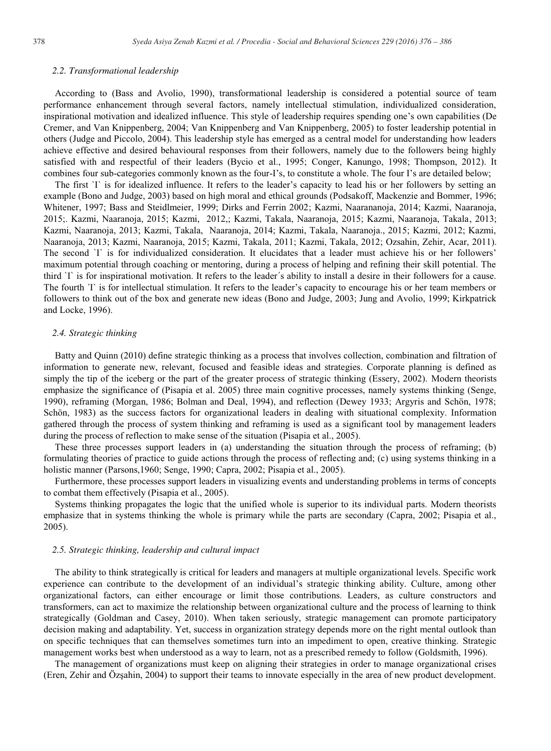## *2.2. Transformational leadership*

According to (Bass and Avolio, 1990), transformational leadership is considered a potential source of team performance enhancement through several factors, namely intellectual stimulation, individualized consideration, inspirational motivation and idealized influence. This style of leadership requires spending one's own capabilities (De Cremer, and Van Knippenberg, 2004; Van Knippenberg and Van Knippenberg, 2005) to foster leadership potential in others (Judge and Piccolo, 2004). This leadership style has emerged as a central model for understanding how leaders achieve effective and desired behavioural responses from their followers, namely due to the followers being highly satisfied with and respectful of their leaders (Bycio et al., 1995; Conger, Kanungo, 1998; Thompson, 2012). It combines four sub-categories commonly known as the four-I's, to constitute a whole. The four I's are detailed below;

The first  $\Gamma$  is for idealized influence. It refers to the leader's capacity to lead his or her followers by setting an example (Bono and Judge, 2003) based on high moral and ethical grounds (Podsakoff, Mackenzie and Bommer, 1996; Whitener, 1997; Bass and Steidlmeier, 1999; Dirks and Ferrin 2002; Kazmi, Naarananoja, 2014; Kazmi, Naaranoja, 2015;. Kazmi, Naaranoja, 2015; Kazmi, 2012,; Kazmi, Takala, Naaranoja, 2015; Kazmi, Naaranoja, Takala, 2013; Kazmi, Naaranoja, 2013; Kazmi, Takala, Naaranoja, 2014; Kazmi, Takala, Naaranoja., 2015; Kazmi, 2012; Kazmi, Naaranoja, 2013; Kazmi, Naaranoja, 2015; Kazmi, Takala, 2011; Kazmi, Takala, 2012; Ozsahin, Zehir, Acar, 2011). The second `I` is for individualized consideration. It elucidates that a leader must achieve his or her followers' maximum potential through coaching or mentoring, during a process of helping and refining their skill potential. The third `I` is for inspirational motivation. It refers to the leader´s ability to install a desire in their followers for a cause. The fourth *T* is for intellectual stimulation. It refers to the leader's capacity to encourage his or her team members or followers to think out of the box and generate new ideas (Bono and Judge, 2003; Jung and Avolio, 1999; Kirkpatrick and Locke, 1996).

## *2.4. Strategic thinking*

Batty and Quinn (2010) define strategic thinking as a process that involves collection, combination and filtration of information to generate new, relevant, focused and feasible ideas and strategies. Corporate planning is defined as simply the tip of the iceberg or the part of the greater process of strategic thinking (Essery, 2002). Modern theorists emphasize the significance of (Pisapia et al. 2005) three main cognitive processes, namely systems thinking (Senge, 1990), reframing (Morgan, 1986; Bolman and Deal, 1994), and reflection (Dewey 1933; Argyris and Schön, 1978; Schön, 1983) as the success factors for organizational leaders in dealing with situational complexity. Information gathered through the process of system thinking and reframing is used as a significant tool by management leaders during the process of reflection to make sense of the situation (Pisapia et al., 2005).

These three processes support leaders in (a) understanding the situation through the process of reframing; (b) formulating theories of practice to guide actions through the process of reflecting and; (c) using systems thinking in a holistic manner (Parsons,1960; Senge, 1990; Capra, 2002; Pisapia et al., 2005).

Furthermore, these processes support leaders in visualizing events and understanding problems in terms of concepts to combat them effectively (Pisapia et al., 2005).

Systems thinking propagates the logic that the unified whole is superior to its individual parts. Modern theorists emphasize that in systems thinking the whole is primary while the parts are secondary (Capra, 2002; Pisapia et al., 2005).

## *2.5. Strategic thinking, leadership and cultural impact*

The ability to think strategically is critical for leaders and managers at multiple organizational levels. Specific work experience can contribute to the development of an individual's strategic thinking ability. Culture, among other organizational factors, can either encourage or limit those contributions. Leaders, as culture constructors and transformers, can act to maximize the relationship between organizational culture and the process of learning to think strategically (Goldman and Casey, 2010). When taken seriously, strategic management can promote participatory decision making and adaptability. Yet, success in organization strategy depends more on the right mental outlook than on specific techniques that can themselves sometimes turn into an impediment to open, creative thinking. Strategic management works best when understood as a way to learn, not as a prescribed remedy to follow (Goldsmith, 1996).

The management of organizations must keep on aligning their strategies in order to manage organizational crises (Eren, Zehir and Özşahin, 2004) to support their teams to innovate especially in the area of new product development.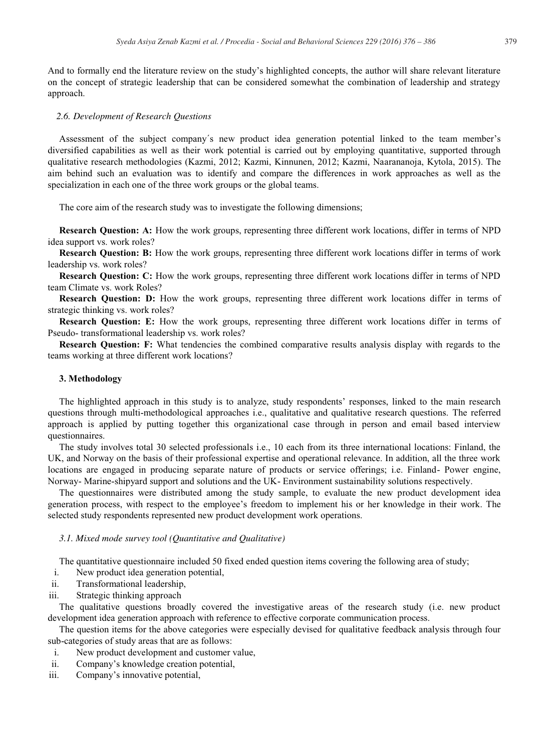And to formally end the literature review on the study's highlighted concepts, the author will share relevant literature on the concept of strategic leadership that can be considered somewhat the combination of leadership and strategy approach.

## *2.6. Development of Research Questions*

Assessment of the subject company´s new product idea generation potential linked to the team member's diversified capabilities as well as their work potential is carried out by employing quantitative, supported through qualitative research methodologies (Kazmi, 2012; Kazmi, Kinnunen, 2012; Kazmi, Naarananoja, Kytola, 2015). The aim behind such an evaluation was to identify and compare the differences in work approaches as well as the specialization in each one of the three work groups or the global teams.

The core aim of the research study was to investigate the following dimensions;

**Research Question: A:** How the work groups, representing three different work locations, differ in terms of NPD idea support vs. work roles?

**Research Question: B:** How the work groups, representing three different work locations differ in terms of work leadership vs. work roles?

**Research Question: C:** How the work groups, representing three different work locations differ in terms of NPD team Climate vs. work Roles?

**Research Question: D:** How the work groups, representing three different work locations differ in terms of strategic thinking vs. work roles?

**Research Question: E:** How the work groups, representing three different work locations differ in terms of Pseudo- transformational leadership vs. work roles?

**Research Question: F:** What tendencies the combined comparative results analysis display with regards to the teams working at three different work locations?

## **3. Methodology**

The highlighted approach in this study is to analyze, study respondents' responses, linked to the main research questions through multi-methodological approaches i.e., qualitative and qualitative research questions. The referred approach is applied by putting together this organizational case through in person and email based interview questionnaires.

The study involves total 30 selected professionals i.e., 10 each from its three international locations: Finland, the UK, and Norway on the basis of their professional expertise and operational relevance. In addition, all the three work locations are engaged in producing separate nature of products or service offerings; i.e. Finland- Power engine, Norway- Marine-shipyard support and solutions and the UK- Environment sustainability solutions respectively.

The questionnaires were distributed among the study sample, to evaluate the new product development idea generation process, with respect to the employee's freedom to implement his or her knowledge in their work. The selected study respondents represented new product development work operations.

## *3.1. Mixed mode survey tool (Quantitative and Qualitative)*

The quantitative questionnaire included 50 fixed ended question items covering the following area of study;

- i. New product idea generation potential,
- ii. Transformational leadership,
- iii. Strategic thinking approach

The qualitative questions broadly covered the investigative areas of the research study (i.e. new product development idea generation approach with reference to effective corporate communication process.

The question items for the above categories were especially devised for qualitative feedback analysis through four sub-categories of study areas that are as follows:

- i. New product development and customer value,
- ii. Company's knowledge creation potential,
- iii. Company's innovative potential,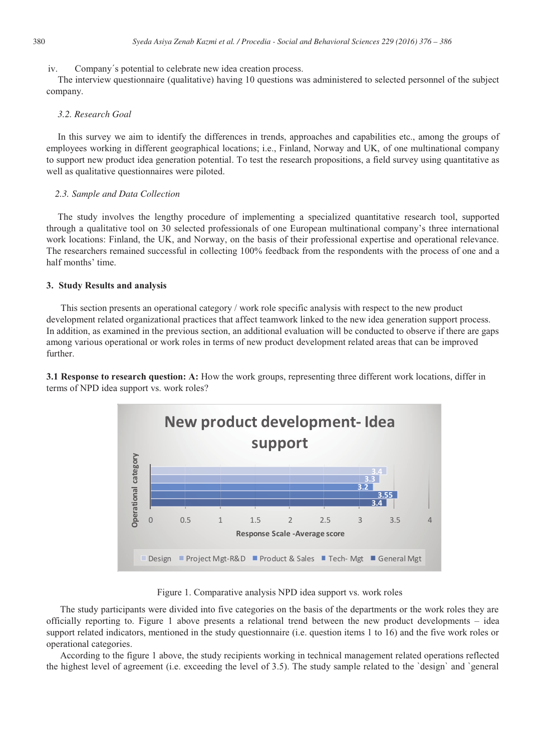## iv. Company´s potential to celebrate new idea creation process.

The interview questionnaire (qualitative) having 10 questions was administered to selected personnel of the subject company.

## *3.2. Research Goal*

In this survey we aim to identify the differences in trends, approaches and capabilities etc., among the groups of employees working in different geographical locations; i.e., Finland, Norway and UK, of one multinational company to support new product idea generation potential. To test the research propositions, a field survey using quantitative as well as qualitative questionnaires were piloted.

## *2.3. Sample and Data Collection*

The study involves the lengthy procedure of implementing a specialized quantitative research tool, supported through a qualitative tool on 30 selected professionals of one European multinational company's three international work locations: Finland, the UK, and Norway, on the basis of their professional expertise and operational relevance. The researchers remained successful in collecting 100% feedback from the respondents with the process of one and a half months' time.

## **3. Study Results and analysis**

 This section presents an operational category / work role specific analysis with respect to the new product development related organizational practices that affect teamwork linked to the new idea generation support process. In addition, as examined in the previous section, an additional evaluation will be conducted to observe if there are gaps among various operational or work roles in terms of new product development related areas that can be improved further.

**3.1 Response to research question: A:** How the work groups, representing three different work locations, differ in terms of NPD idea support vs. work roles?



Figure 1. Comparative analysis NPD idea support vs. work roles

The study participants were divided into five categories on the basis of the departments or the work roles they are officially reporting to. Figure 1 above presents a relational trend between the new product developments – idea support related indicators, mentioned in the study questionnaire (i.e. question items 1 to 16) and the five work roles or operational categories.

According to the figure 1 above, the study recipients working in technical management related operations reflected the highest level of agreement (i.e. exceeding the level of 3.5). The study sample related to the `design` and `general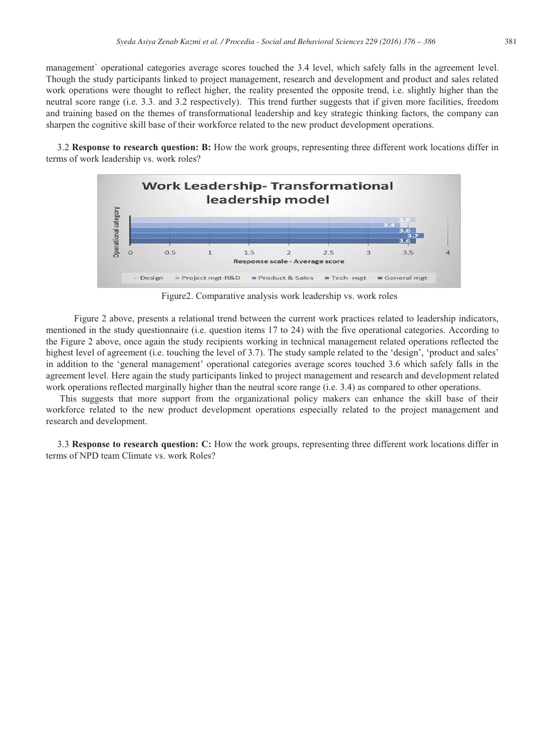Though the study participants linked to project management, research and development and product and sales related work operations were thought to reflect higher, the reality presented the opposite trend, i.e. slightly higher than the neutral score range (i.e. 3.3. and 3.2 respectively). This trend further suggests that if given more facilities, freedom and training based on the themes of transformational leadership and key strategic thinking factors, the company can sharpen the cognitive skill base of their workforce related to the new product development operations.

3.2 **Response to research question: B:** How the work groups, representing three different work locations differ in terms of work leadership vs. work roles?



Figure2. Comparative analysis work leadership vs. work roles

 Figure 2 above, presents a relational trend between the current work practices related to leadership indicators, mentioned in the study questionnaire (i.e. question items 17 to 24) with the five operational categories. According to the Figure 2 above, once again the study recipients working in technical management related operations reflected the highest level of agreement (i.e. touching the level of 3.7). The study sample related to the 'design', 'product and sales' in addition to the 'general management' operational categories average scores touched 3.6 which safely falls in the agreement level. Here again the study participants linked to project management and research and development related work operations reflected marginally higher than the neutral score range (i.e. 3.4) as compared to other operations.

This suggests that more support from the organizational policy makers can enhance the skill base of their workforce related to the new product development operations especially related to the project management and research and development.

3.3 **Response to research question: C:** How the work groups, representing three different work locations differ in terms of NPD team Climate vs. work Roles?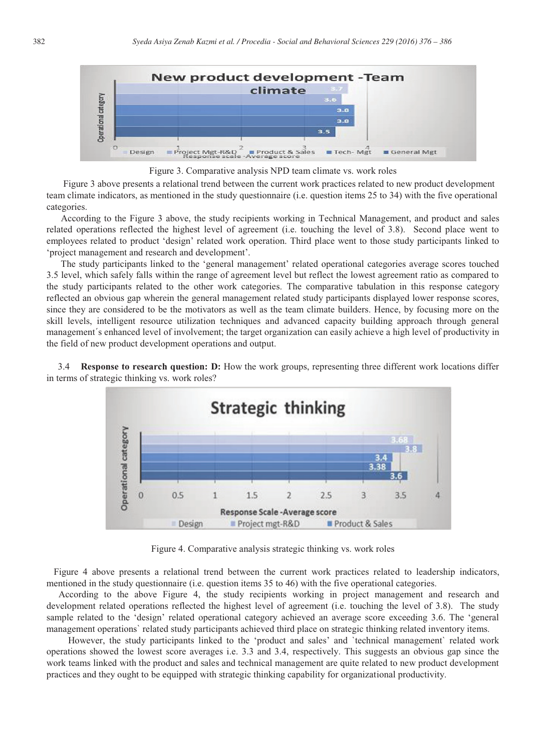

Figure 3. Comparative analysis NPD team climate vs. work roles

 Figure 3 above presents a relational trend between the current work practices related to new product development team climate indicators, as mentioned in the study questionnaire (i.e. question items 25 to 34) with the five operational categories.

 According to the Figure 3 above, the study recipients working in Technical Management, and product and sales related operations reflected the highest level of agreement (i.e. touching the level of 3.8). Second place went to employees related to product 'design' related work operation. Third place went to those study participants linked to 'project management and research and development'.

 The study participants linked to the 'general management' related operational categories average scores touched 3.5 level, which safely falls within the range of agreement level but reflect the lowest agreement ratio as compared to the study participants related to the other work categories. The comparative tabulation in this response category reflected an obvious gap wherein the general management related study participants displayed lower response scores, since they are considered to be the motivators as well as the team climate builders. Hence, by focusing more on the skill levels, intelligent resource utilization techniques and advanced capacity building approach through general management´s enhanced level of involvement; the target organization can easily achieve a high level of productivity in the field of new product development operations and output.

3.4 **Response to research question: D:** How the work groups, representing three different work locations differ in terms of strategic thinking vs. work roles?



Figure 4. Comparative analysis strategic thinking vs. work roles

Figure 4 above presents a relational trend between the current work practices related to leadership indicators, mentioned in the study questionnaire (i.e. question items 35 to 46) with the five operational categories.

 According to the above Figure 4, the study recipients working in project management and research and development related operations reflected the highest level of agreement (i.e. touching the level of 3.8). The study sample related to the 'design' related operational category achieved an average score exceeding 3.6. The 'general management operations` related study participants achieved third place on strategic thinking related inventory items.

 However, the study participants linked to the 'product and sales' and `technical management` related work operations showed the lowest score averages i.e. 3.3 and 3.4, respectively. This suggests an obvious gap since the work teams linked with the product and sales and technical management are quite related to new product development practices and they ought to be equipped with strategic thinking capability for organizational productivity.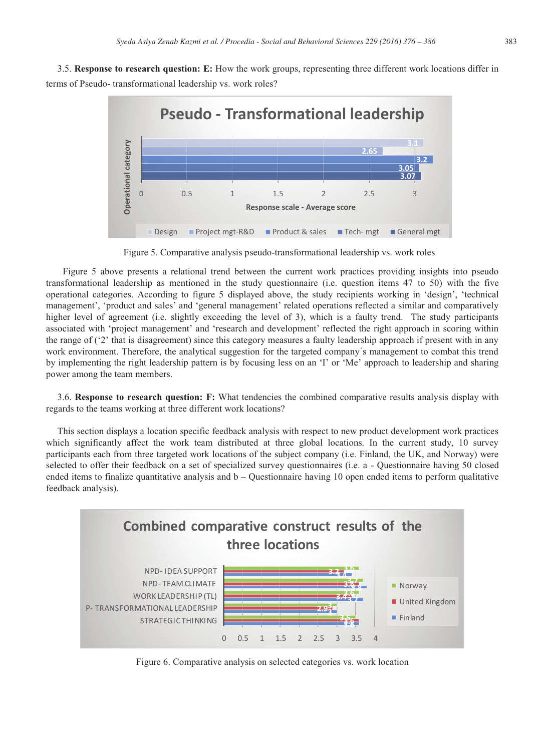3.5. **Response to research question: E:** How the work groups, representing three different work locations differ in terms of Pseudo- transformational leadership vs. work roles?



Figure 5. Comparative analysis pseudo-transformational leadership vs. work roles

 Figure 5 above presents a relational trend between the current work practices providing insights into pseudo transformational leadership as mentioned in the study questionnaire (i.e. question items 47 to 50) with the five operational categories. According to figure 5 displayed above, the study recipients working in 'design', 'technical management', 'product and sales' and 'general management' related operations reflected a similar and comparatively higher level of agreement (i.e. slightly exceeding the level of 3), which is a faulty trend. The study participants associated with 'project management' and 'research and development' reflected the right approach in scoring within the range of ('2' that is disagreement) since this category measures a faulty leadership approach if present with in any work environment. Therefore, the analytical suggestion for the targeted company´s management to combat this trend by implementing the right leadership pattern is by focusing less on an 'I' or 'Me' approach to leadership and sharing power among the team members.

3.6. **Response to research question: F:** What tendencies the combined comparative results analysis display with regards to the teams working at three different work locations?

This section displays a location specific feedback analysis with respect to new product development work practices which significantly affect the work team distributed at three global locations. In the current study, 10 survey participants each from three targeted work locations of the subject company (i.e. Finland, the UK, and Norway) were selected to offer their feedback on a set of specialized survey questionnaires (i.e. a - Questionnaire having 50 closed ended items to finalize quantitative analysis and  $b - Q$ uestionnaire having 10 open ended items to perform qualitative feedback analysis).



Figure 6. Comparative analysis on selected categories vs. work location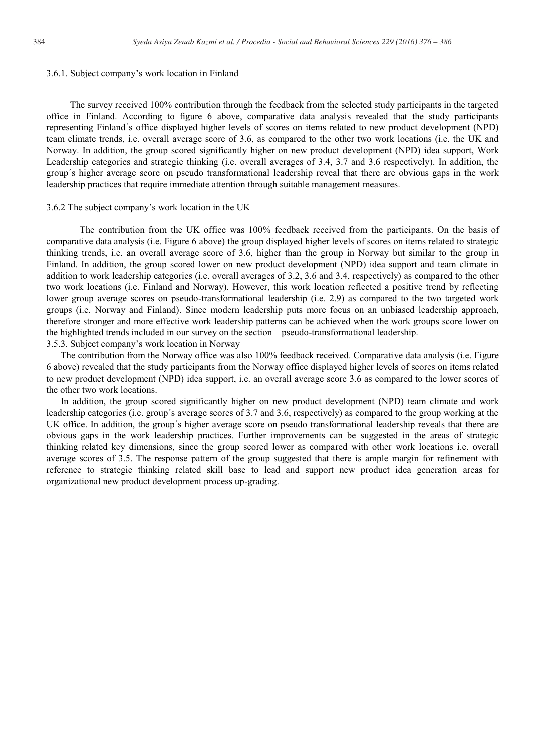## 3.6.1. Subject company's work location in Finland

 The survey received 100% contribution through the feedback from the selected study participants in the targeted office in Finland. According to figure 6 above, comparative data analysis revealed that the study participants representing Finland´s office displayed higher levels of scores on items related to new product development (NPD) team climate trends, i.e. overall average score of 3.6, as compared to the other two work locations (i.e. the UK and Norway. In addition, the group scored significantly higher on new product development (NPD) idea support, Work Leadership categories and strategic thinking (i.e. overall averages of 3.4, 3.7 and 3.6 respectively). In addition, the group´s higher average score on pseudo transformational leadership reveal that there are obvious gaps in the work leadership practices that require immediate attention through suitable management measures.

## 3.6.2 The subject company's work location in the UK

 The contribution from the UK office was 100% feedback received from the participants. On the basis of comparative data analysis (i.e. Figure 6 above) the group displayed higher levels of scores on items related to strategic thinking trends, i.e. an overall average score of 3.6, higher than the group in Norway but similar to the group in Finland. In addition, the group scored lower on new product development (NPD) idea support and team climate in addition to work leadership categories (i.e. overall averages of 3.2, 3.6 and 3.4, respectively) as compared to the other two work locations (i.e. Finland and Norway). However, this work location reflected a positive trend by reflecting lower group average scores on pseudo-transformational leadership (i.e. 2.9) as compared to the two targeted work groups (i.e. Norway and Finland). Since modern leadership puts more focus on an unbiased leadership approach, therefore stronger and more effective work leadership patterns can be achieved when the work groups score lower on the highlighted trends included in our survey on the section – pseudo-transformational leadership. 3.5.3. Subject company's work location in Norway

 The contribution from the Norway office was also 100% feedback received. Comparative data analysis (i.e. Figure 6 above) revealed that the study participants from the Norway office displayed higher levels of scores on items related to new product development (NPD) idea support, i.e. an overall average score 3.6 as compared to the lower scores of the other two work locations.

 In addition, the group scored significantly higher on new product development (NPD) team climate and work leadership categories (i.e. group´s average scores of 3.7 and 3.6, respectively) as compared to the group working at the UK office. In addition, the group´s higher average score on pseudo transformational leadership reveals that there are obvious gaps in the work leadership practices. Further improvements can be suggested in the areas of strategic thinking related key dimensions, since the group scored lower as compared with other work locations i.e. overall average scores of 3.5. The response pattern of the group suggested that there is ample margin for refinement with reference to strategic thinking related skill base to lead and support new product idea generation areas for organizational new product development process up-grading.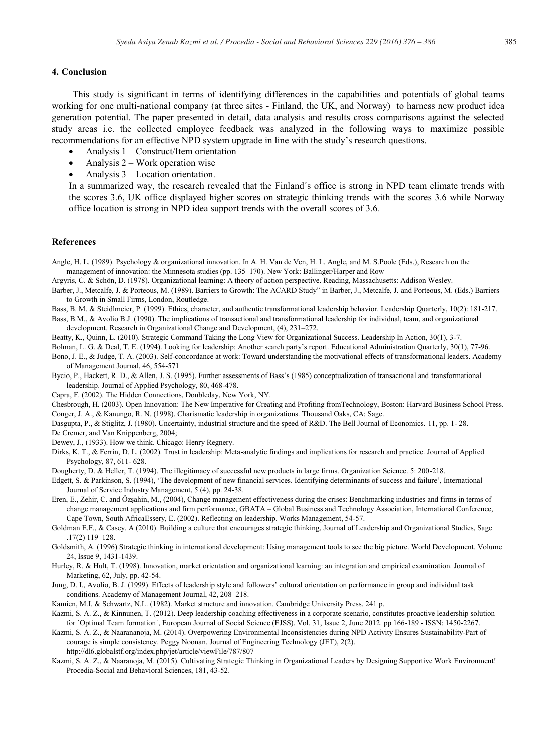## **4. Conclusion**

 This study is significant in terms of identifying differences in the capabilities and potentials of global teams working for one multi-national company (at three sites - Finland, the UK, and Norway) to harness new product idea generation potential. The paper presented in detail, data analysis and results cross comparisons against the selected study areas i.e. the collected employee feedback was analyzed in the following ways to maximize possible recommendations for an effective NPD system upgrade in line with the study's research questions.

- x Analysis 1 Construct/Item orientation
- Analysis  $2 Work$  operation wise
- Analysis  $3 -$  Location orientation.

In a summarized way, the research revealed that the Finland´s office is strong in NPD team climate trends with the scores 3.6, UK office displayed higher scores on strategic thinking trends with the scores 3.6 while Norway office location is strong in NPD idea support trends with the overall scores of 3.6.

#### **References**

Angle, H. L. (1989). Psychology & organizational innovation. In A. H. Van de Ven, H. L. Angle, and M. S.Poole (Eds.), Research on the management of innovation: the Minnesota studies (pp. 135–170). New York: Ballinger/Harper and Row

Argyris, C. & Schön, D. (1978). Organizational learning: A theory of action perspective. Reading, Massachusetts: Addison Wesley.

Barber, J., Metcalfe, J. & Porteous, M. (1989). Barriers to Growth: The ACARD Study" in Barber, J., Metcalfe, J. and Porteous, M. (Eds.) Barriers to Growth in Small Firms, London, Routledge.

Bass, B. M. & Steidlmeier, P. (1999). Ethics, character, and authentic transformational leadership behavior. Leadership Quarterly, 10(2): 181-217. Bass, B.M., & Avolio B.J. (1990). The implications of transactional and transformational leadership for individual, team, and organizational development. Research in Organizational Change and Development, (4), 231–272.

Beatty, K., Quinn, L. (2010). Strategic Command Taking the Long View for Organizational Success. Leadership In Action, 30(1), 3-7.

Bolman, L. G. & Deal, T. E. (1994). Looking for leadership: Another search party's report. Educational Administration Quarterly, 30(1), 77-96.

Bono, J. E., & Judge, T. A. (2003). Self-concordance at work: Toward understanding the motivational effects of transformational leaders. Academy of Management Journal, 46, 554-571

Bycio, P., Hackett, R. D., & Allen, J. S. (1995). Further assessments of Bass's (1985) conceptualization of transactional and transformational leadership. Journal of Applied Psychology, 80, 468-478.

Capra, F. (2002). The Hidden Connections, Doubleday, New York, NY.

Chesbrough, H. (2003). Open Innovation: The New Imperative for Creating and Profiting fromTechnology, Boston: Harvard Business School Press. Conger, J. A., & Kanungo, R. N. (1998). Charismatic leadership in organizations. Thousand Oaks, CA: Sage.

- Dasgupta, P., & Stiglitz, J. (1980). Uncertainty, industrial structure and the speed of R&D. The Bell Journal of Economics. 11, pp. 1- 28.
- De Cremer, and Van Knippenberg, 2004;

Dewey, J., (1933). How we think. Chicago: Henry Regnery.

- Dirks, K. T., & Ferrin, D. L. (2002). Trust in leadership: Meta-analytic findings and implications for research and practice. Journal of Applied Psychology, 87, 611- 628.
- Dougherty, D. & Heller, T. (1994). The illegitimacy of successful new products in large firms. Organization Science. 5: 200-218.
- Edgett, S. & Parkinson, S. (1994), 'The development of new financial services. Identifying determinants of success and failure', International Journal of Service Industry Management, 5 (4), pp. 24-38.
- Eren, E., Zehir, C. and Özşahin, M., (2004), Change management effectiveness during the crises: Benchmarking industries and firms in terms of change management applications and firm performance, GBATA – Global Business and Technology Association, International Conference, Cape Town, South AfricaEssery, E. (2002). Reflecting on leadership. Works Management, 54-57.

Goldman E.F., & Casey. A (2010). Building a culture that encourages strategic thinking, Journal of Leadership and Organizational Studies, Sage .17(2) 119–128.

Goldsmith, A. (1996) Strategic thinking in international development: Using management tools to see the big picture. World Development. Volume 24, Issue 9, 1431-1439.

Hurley, R. & Hult, T. (1998). Innovation, market orientation and organizational learning: an integration and empirical examination. Journal of Marketing, 62, July, pp. 42-54.

Jung, D. I., Avolio, B. J. (1999). Effects of leadership style and followers' cultural orientation on performance in group and individual task conditions. Academy of Management Journal, 42, 208–218.

Kamien, M.I. & Schwartz, N.L. (1982). Market structure and innovation. Cambridge University Press. 241 p.

Kazmi, S. A. Z., & Kinnunen, T. (2012). Deep leadership coaching effectiveness in a corporate scenario, constitutes proactive leadership solution for `Optimal Team formation`, European Journal of Social Science (EJSS). Vol. 31, Issue 2, June 2012. pp 166-189 - ISSN: 1450-2267.

Kazmi, S. A. Z., & Naarananoja, M. (2014). Overpowering Environmental Inconsistencies during NPD Activity Ensures Sustainability-Part of courage is simple consistency. Peggy Noonan. Journal of Engineering Technology (JET), 2(2). http://dl6.globalstf.org/index.php/jet/article/viewFile/787/807

Kazmi, S. A. Z., & Naaranoja, M. (2015). Cultivating Strategic Thinking in Organizational Leaders by Designing Supportive Work Environment! Procedia-Social and Behavioral Sciences, 181, 43-52.